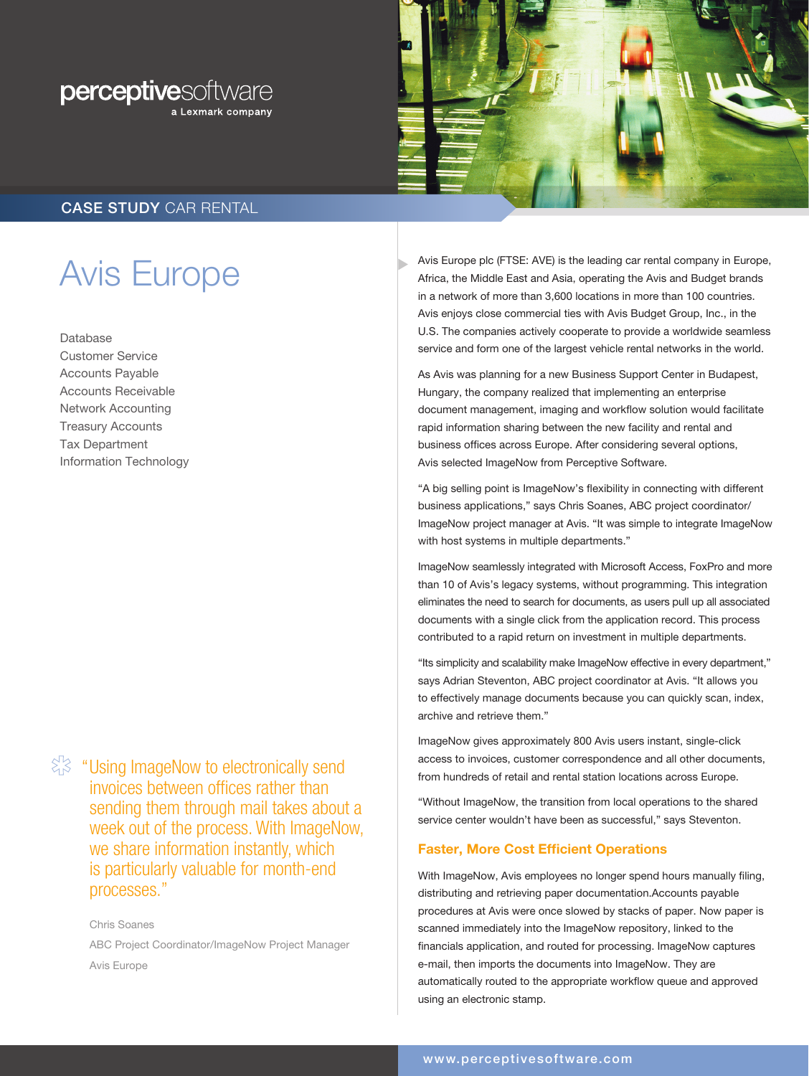



# CASE STUDY CAR RENTAL

# Avis Europe

Database Customer Service Accounts Payable Accounts Receivable Network Accounting Treasury Accounts Tax Department Information Technology

 $\frac{1}{2}$  "Using ImageNow to electronically send invoices between offices rather than sending them through mail takes about a week out of the process. With ImageNow, we share information instantly, which is particularly valuable for month-end processes."

> Chris Soanes ABC Project Coordinator/ImageNow Project Manager Avis Europe

Avis Europe plc (FTSE: AVE) is the leading car rental company in Europe, Africa, the Middle East and Asia, operating the Avis and Budget brands in a network of more than 3,600 locations in more than 100 countries. Avis enjoys close commercial ties with Avis Budget Group, Inc., in the U.S. The companies actively cooperate to provide a worldwide seamless service and form one of the largest vehicle rental networks in the world.

As Avis was planning for a new Business Support Center in Budapest, Hungary, the company realized that implementing an enterprise document management, imaging and workflow solution would facilitate rapid information sharing between the new facility and rental and business offices across Europe. After considering several options, Avis selected ImageNow from Perceptive Software.

"A big selling point is ImageNow's flexibility in connecting with different business applications," says Chris Soanes, ABC project coordinator/ ImageNow project manager at Avis. "It was simple to integrate ImageNow with host systems in multiple departments."

ImageNow seamlessly integrated with Microsoft Access, FoxPro and more than 10 of Avis's legacy systems, without programming. This integration eliminates the need to search for documents, as users pull up all associated documents with a single click from the application record. This process contributed to a rapid return on investment in multiple departments.

"Its simplicity and scalability make ImageNow effective in every department," says Adrian Steventon, ABC project coordinator at Avis. "It allows you to effectively manage documents because you can quickly scan, index, archive and retrieve them."

ImageNow gives approximately 800 Avis users instant, single-click access to invoices, customer correspondence and all other documents, from hundreds of retail and rental station locations across Europe.

"Without ImageNow, the transition from local operations to the shared service center wouldn't have been as successful," says Steventon.

### Faster, More Cost Efficient Operations

With ImageNow, Avis employees no longer spend hours manually filing, distributing and retrieving paper documentation.Accounts payable procedures at Avis were once slowed by stacks of paper. Now paper is scanned immediately into the ImageNow repository, linked to the financials application, and routed for processing. ImageNow captures e-mail, then imports the documents into ImageNow. They are automatically routed to the appropriate workflow queue and approved using an electronic stamp.